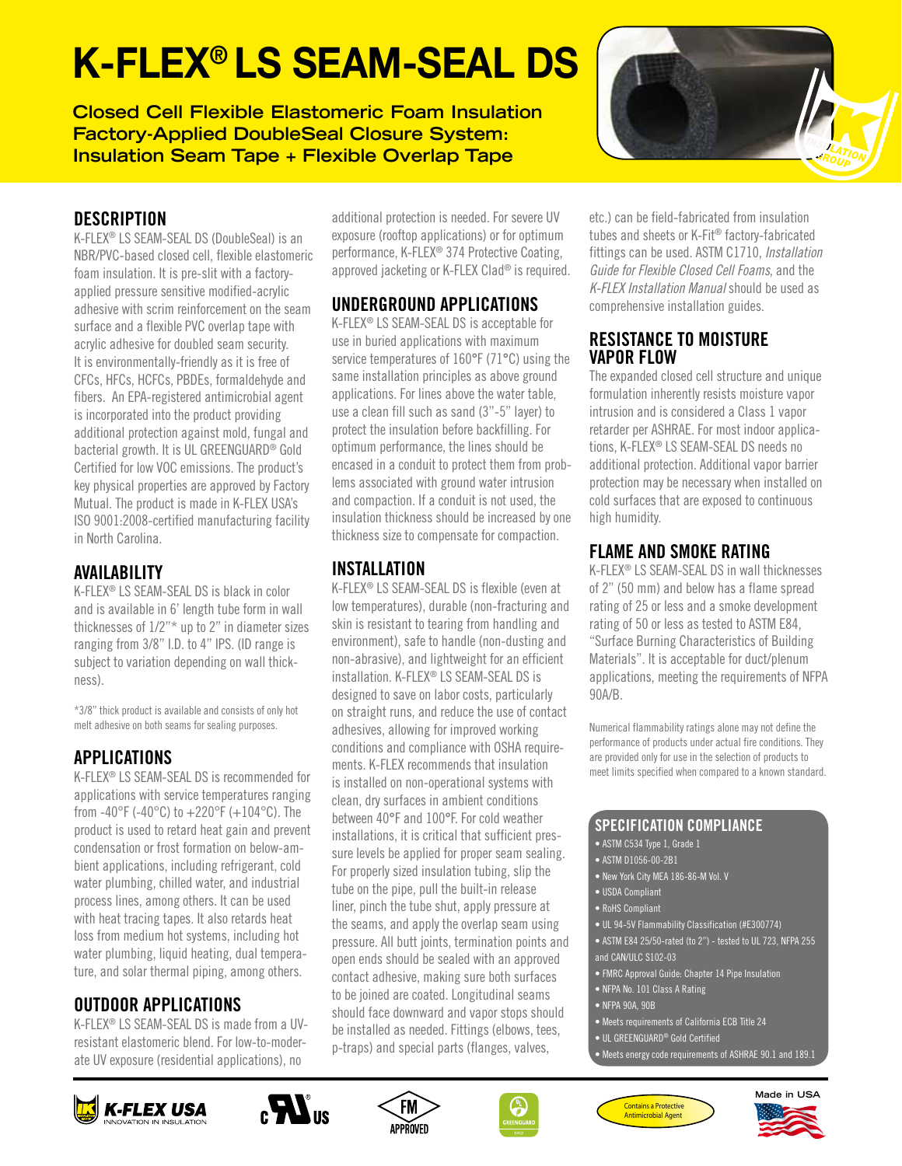# K-FLEX® LS SEAM-SEAL DS

**Closed Cell Flexible Elastomeric Foam Insulation Factory-Applied DoubleSeal Closure System: Insulation Seam Tape + Flexible Overlap Tape**



## **DESCRIPTION**

K-FLEX® LS SEAM-SEAL DS (DoubleSeal) is an NBR/PVC-based closed cell, flexible elastomeric foam insulation. It is pre-slit with a factoryapplied pressure sensitive modified-acrylic adhesive with scrim reinforcement on the seam surface and a flexible PVC overlap tape with acrylic adhesive for doubled seam security. It is environmentally-friendly as it is free of CFCs, HFCs, HCFCs, PBDEs, formaldehyde and fibers. An EPA-registered antimicrobial agent is incorporated into the product providing additional protection against mold, fungal and bacterial growth. It is UL GREENGUARD® Gold Certified for low VOC emissions. The product's key physical properties are approved by Factory Mutual. The product is made in K-FLEX USA's ISO 9001:2008-certified manufacturing facility in North Carolina.

### AVAILABILITY

K-FLEX® LS SEAM-SEAL DS is black in color and is available in 6' length tube form in wall thicknesses of 1/2"\* up to 2" in diameter sizes ranging from 3/8" I.D. to 4" IPS. (ID range is subject to variation depending on wall thickness).

\*3/8" thick product is available and consists of only hot melt adhesive on both seams for sealing purposes.

#### APPLICATIONS

K-FLEX® LS SEAM-SEAL DS is recommended for applications with service temperatures ranging from -40°F (-40°C) to  $+220$ °F (+104°C). The product is used to retard heat gain and prevent condensation or frost formation on below-ambient applications, including refrigerant, cold water plumbing, chilled water, and industrial process lines, among others. It can be used with heat tracing tapes. It also retards heat loss from medium hot systems, including hot water plumbing, liquid heating, dual temperature, and solar thermal piping, among others.

#### OUTDOOR APPLICATIONS

K-FLEX® LS SEAM-SEAL DS is made from a UVresistant elastomeric blend. For low-to-moderate UV exposure (residential applications), no

additional protection is needed. For severe UV exposure (rooftop applications) or for optimum performance, K-FLEX® 374 Protective Coating, approved jacketing or K-FLEX Clad® is required.

#### UNDERGROUND APPLICATIONS

K-FLEX® LS SEAM-SEAL DS is acceptable for use in buried applications with maximum service temperatures of 160°F (71°C) using the same installation principles as above ground applications. For lines above the water table, use a clean fill such as sand (3"-5" layer) to protect the insulation before backfilling. For optimum performance, the lines should be encased in a conduit to protect them from problems associated with ground water intrusion and compaction. If a conduit is not used, the insulation thickness should be increased by one thickness size to compensate for compaction.

# INSTALLATION

K-FLEX® LS SEAM-SEAL DS is flexible (even at low temperatures), durable (non-fracturing and skin is resistant to tearing from handling and environment), safe to handle (non-dusting and non-abrasive), and lightweight for an efficient installation. K-FLEX® LS SEAM-SEAL DS is designed to save on labor costs, particularly on straight runs, and reduce the use of contact adhesives, allowing for improved working conditions and compliance with OSHA requirements. K-FLEX recommends that insulation is installed on non-operational systems with clean, dry surfaces in ambient conditions between 40°F and 100°F. For cold weather installations, it is critical that sufficient pressure levels be applied for proper seam sealing. For properly sized insulation tubing, slip the tube on the pipe, pull the built-in release liner, pinch the tube shut, apply pressure at the seams, and apply the overlap seam using pressure. All butt joints, termination points and open ends should be sealed with an approved contact adhesive, making sure both surfaces to be joined are coated. Longitudinal seams should face downward and vapor stops should be installed as needed. Fittings (elbows, tees, p-traps) and special parts (flanges, valves,

etc.) can be field-fabricated from insulation tubes and sheets or K-Fit® factory-fabricated fittings can be used. ASTM C1710, *Installation Guide for Flexible Closed Cell Foams*, and the *K-FLEX Installation Manual* should be used as comprehensive installation guides.

#### RESISTANCE TO MOISTURE VAPOR FLOW

The expanded closed cell structure and unique formulation inherently resists moisture vapor intrusion and is considered a Class 1 vapor retarder per ASHRAE. For most indoor applications, K-FLEX® LS SEAM-SEAL DS needs no additional protection. Additional vapor barrier protection may be necessary when installed on cold surfaces that are exposed to continuous high humidity.

# FLAME AND SMOKE RATING

K-FLEX® LS SEAM-SEAL DS in wall thicknesses of 2" (50 mm) and below has a flame spread rating of 25 or less and a smoke development rating of 50 or less as tested to ASTM E84, "Surface Burning Characteristics of Building Materials". It is acceptable for duct/plenum applications, meeting the requirements of NFPA 90A/B.

Numerical flammability ratings alone may not define the performance of products under actual fire conditions. They are provided only for use in the selection of products to meet limits specified when compared to a known standard.

#### SPECIFICATION COMPLIANCE

- ASTM D1056-00-2B1
- New York City MEA 186-86-M Vol. V
- 
- 
- UL 94-5V Flammability Classification (#E300774)
- ASTM E84 25/50-rated (to 2") tested to UL 723, NFPA 255 and CAN/ULC S102-03
- FMRC Approval Guide: Chapter 14 Pipe Insulation
- NFPA No. 101 Class A Rating
- NFPA 90A, 90B
- Meets requirements of California ECB Title 24
- UL GREENGUARD® Gold Certified
- Meets energy code requirements of ASHRAE 90.1 and 189.1













• ASTM C534 Type 1, Grade 1

- 
- 
- USDA Compliant
- RoHS Compliant